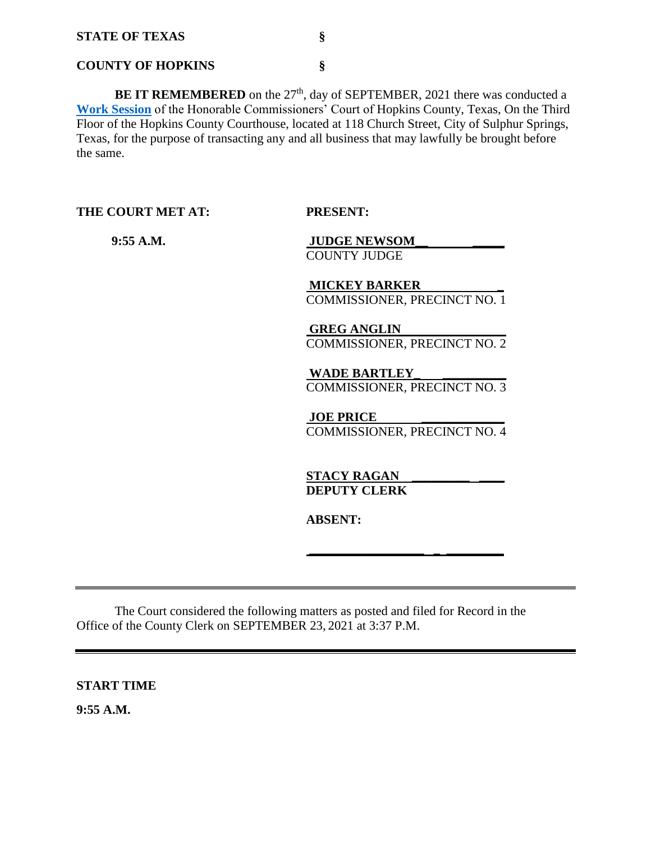#### **COUNTY OF HOPKINS §**

**BE IT REMEMBERED** on the 27<sup>th</sup>, day of SEPTEMBER, 2021 there was conducted a **[Work Session](Links%202021-09-27-Work/AGENDA_1.pdf)** of the Honorable Commissioners' Court of Hopkins County, Texas, On the Third Floor of the Hopkins County Courthouse, located at 118 Church Street, City of Sulphur Springs, Texas, for the purpose of transacting any and all business that may lawfully be brought before the same.

**THE COURT MET AT: PRESENT:**

 **9:55 A.M. JUDGE NEWSOM\_\_ \_\_\_\_\_** COUNTY JUDGE

> **MICKEY BARKER \_**  COMMISSIONER, PRECINCT NO. 1

> **GREG ANGLIN**  COMMISSIONER, PRECINCT NO. 2

> **WADE BARTLEY\_ \_\_\_\_\_\_\_\_\_\_** COMMISSIONER, PRECINCT NO. 3

**JOE PRICE** COMMISSIONER, PRECINCT NO. 4

**\_\_\_\_\_\_\_\_\_\_\_\_\_\_\_\_\_\_ \_ \_\_\_\_\_\_\_\_\_** 

**STACY RAGAN DEPUTY CLERK** 

**ABSENT:**

The Court considered the following matters as posted and filed for Record in the Office of the County Clerk on SEPTEMBER 23, 2021 at 3:37 P.M.

**START TIME**

**9:55 A.M.**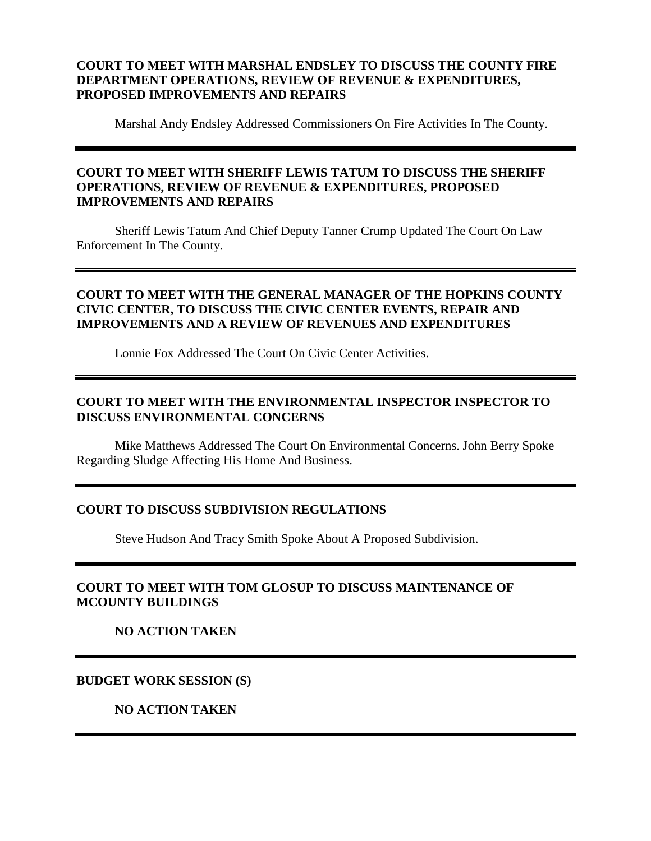### **COURT TO MEET WITH MARSHAL ENDSLEY TO DISCUSS THE COUNTY FIRE DEPARTMENT OPERATIONS, REVIEW OF REVENUE & EXPENDITURES, PROPOSED IMPROVEMENTS AND REPAIRS**

Marshal Andy Endsley Addressed Commissioners On Fire Activities In The County.

### **COURT TO MEET WITH SHERIFF LEWIS TATUM TO DISCUSS THE SHERIFF OPERATIONS, REVIEW OF REVENUE & EXPENDITURES, PROPOSED IMPROVEMENTS AND REPAIRS**

Sheriff Lewis Tatum And Chief Deputy Tanner Crump Updated The Court On Law Enforcement In The County.

### **COURT TO MEET WITH THE GENERAL MANAGER OF THE HOPKINS COUNTY CIVIC CENTER, TO DISCUSS THE CIVIC CENTER EVENTS, REPAIR AND IMPROVEMENTS AND A REVIEW OF REVENUES AND EXPENDITURES**

Lonnie Fox Addressed The Court On Civic Center Activities.

## **COURT TO MEET WITH THE ENVIRONMENTAL INSPECTOR INSPECTOR TO DISCUSS ENVIRONMENTAL CONCERNS**

Mike Matthews Addressed The Court On Environmental Concerns. John Berry Spoke Regarding Sludge Affecting His Home And Business.

#### **COURT TO DISCUSS SUBDIVISION REGULATIONS**

Steve Hudson And Tracy Smith Spoke About A Proposed Subdivision.

## **COURT TO MEET WITH TOM GLOSUP TO DISCUSS MAINTENANCE OF MCOUNTY BUILDINGS**

**NO ACTION TAKEN**

#### **BUDGET WORK SESSION (S)**

**NO ACTION TAKEN**